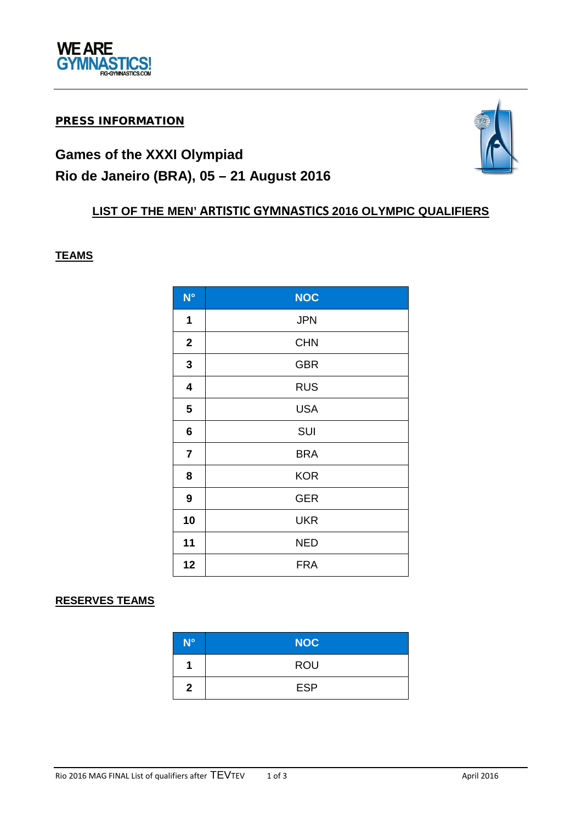

## PRESS INFORMATION

# **Games of the XXXI Olympiad Rio de Janeiro (BRA), 05 – 21 August 2016**

# **LIST OF THE MEN' ARTISTIC GYMNASTICS 2016 OLYMPIC QUALIFIERS**

#### **TEAMS**

| $N^{\circ}$    | <b>NOC</b> |
|----------------|------------|
| 1              | <b>JPN</b> |
| $\mathbf 2$    | <b>CHN</b> |
| $\mathbf 3$    | <b>GBR</b> |
| 4              | <b>RUS</b> |
| 5              | <b>USA</b> |
| 6              | SUI        |
| $\overline{7}$ | <b>BRA</b> |
| 8              | <b>KOR</b> |
| 9              | <b>GER</b> |
| 10             | <b>UKR</b> |
| 11             | <b>NED</b> |
| 12             | <b>FRA</b> |

## **RESERVES TEAMS**

| N°           | <b>NOC</b> |
|--------------|------------|
|              | <b>ROU</b> |
| $\mathbf{2}$ | <b>ESP</b> |

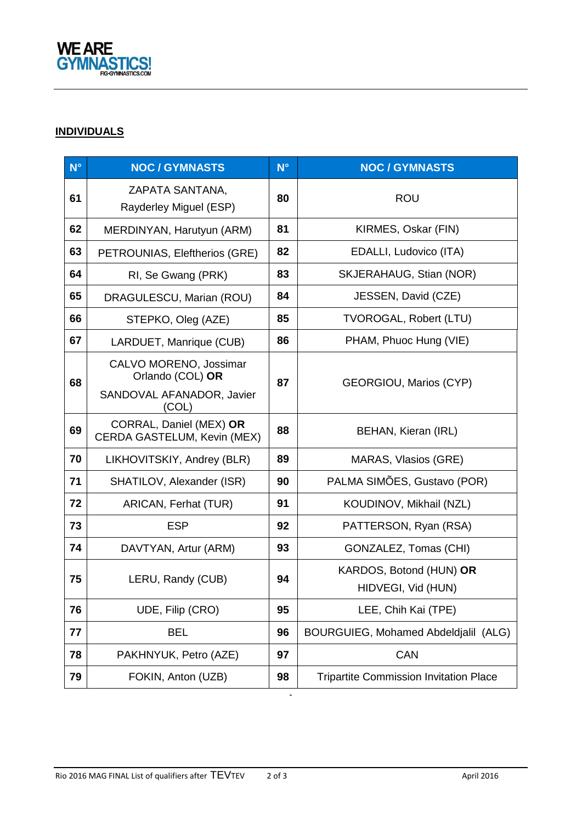

## **INDIVIDUALS**

| $N^{\circ}$ | <b>NOC / GYMNASTS</b>                                  | $N^{\circ}$ | <b>NOC / GYMNASTS</b>                         |
|-------------|--------------------------------------------------------|-------------|-----------------------------------------------|
| 61          | ZAPATA SANTANA,<br>Rayderley Miguel (ESP)              | 80          | <b>ROU</b>                                    |
| 62          | MERDINYAN, Harutyun (ARM)                              | 81          | KIRMES, Oskar (FIN)                           |
| 63          | PETROUNIAS, Eleftherios (GRE)                          | 82          | EDALLI, Ludovico (ITA)                        |
| 64          | RI, Se Gwang (PRK)                                     | 83          | <b>SKJERAHAUG, Stian (NOR)</b>                |
| 65          | DRAGULESCU, Marian (ROU)                               | 84          | JESSEN, David (CZE)                           |
| 66          | STEPKO, Oleg (AZE)                                     | 85          | <b>TVOROGAL, Robert (LTU)</b>                 |
| 67          | LARDUET, Manrique (CUB)                                | 86          | PHAM, Phuoc Hung (VIE)                        |
| 68          | CALVO MORENO, Jossimar<br>Orlando (COL) OR             | 87          | GEORGIOU, Marios (CYP)                        |
|             | SANDOVAL AFANADOR, Javier<br>(COL)                     |             |                                               |
| 69          | CORRAL, Daniel (MEX) OR<br>CERDA GASTELUM, Kevin (MEX) | 88          | BEHAN, Kieran (IRL)                           |
| 70          | LIKHOVITSKIY, Andrey (BLR)                             | 89          | MARAS, Vlasios (GRE)                          |
| 71          | SHATILOV, Alexander (ISR)                              | 90          | PALMA SIMÕES, Gustavo (POR)                   |
| 72          | ARICAN, Ferhat (TUR)                                   | 91          | KOUDINOV, Mikhail (NZL)                       |
| 73          | <b>ESP</b>                                             | 92          | PATTERSON, Ryan (RSA)                         |
| 74          | DAVTYAN, Artur (ARM)                                   | 93          | GONZALEZ, Tomas (CHI)                         |
| 75          | LERU, Randy (CUB)                                      | 94          | KARDOS, Botond (HUN) OR<br>HIDVEGI, Vid (HUN) |
| 76          | UDE, Filip (CRO)                                       | 95          | LEE, Chih Kai (TPE)                           |
| 77          | <b>BEL</b>                                             | 96          | BOURGUIEG, Mohamed Abdeldjalil (ALG)          |
| 78          | PAKHNYUK, Petro (AZE)                                  | 97          | <b>CAN</b>                                    |
| 79          | FOKIN, Anton (UZB)                                     | 98          | <b>Tripartite Commission Invitation Place</b> |

**ROU**